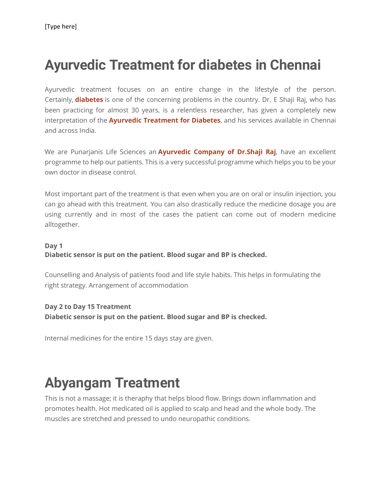## **Ayurvedic Treatment for diabetes in Chennai**

Ayurvedic treatment focuses on an entire change in the lifestyle of the person. Certainly, **[diabetes](https://www.punarjanis.com/diabetes.html)** is one of the concerning problems in the country. Dr. E Shaji Raj, who has been practicing for almost 30 years, is a relentless researcher, has given a completely new interpretation of the **[Ayurvedic Treatment for Diabetes](https://www.punarjanis.com/diabetes.html)**, and his services available in Chennai and across India.

We are Punarjanis Life Sciences an **[Ayurvedic Company of Dr.Shaji Raj](https://www.punarjanis.com/index.html)**, have an excellent programme to help our patients. This is a very successful programme which helps you to be your own doctor in disease control.

Most important part of the treatment is that even when you are on oral or insulin injection, you can go ahead with this treatment. You can also drastically reduce the medicine dosage you are using currently and in most of the cases the patient can come out of modern medicine alltogether.

### **Day 1 Diabetic sensor is put on the patient. Blood sugar and BP is checked.**

Counselling and Analysis of patients food and life style habits. This helps in formulating the right strategy. Arrangement of accommodation

### **Day 2 to Day 15 Treatment**

**Diabetic sensor is put on the patient. Blood sugar and BP is checked.**

Internal medicines for the entire 15 days stay are given.

## **Abyangam Treatment**

This is not a massage; it is theraphy that helps blood flow. Brings down inflammation and promotes health. Hot medicated oil is applied to scalp and head and the whole body. The muscles are stretched and pressed to undo neuropathic conditions.